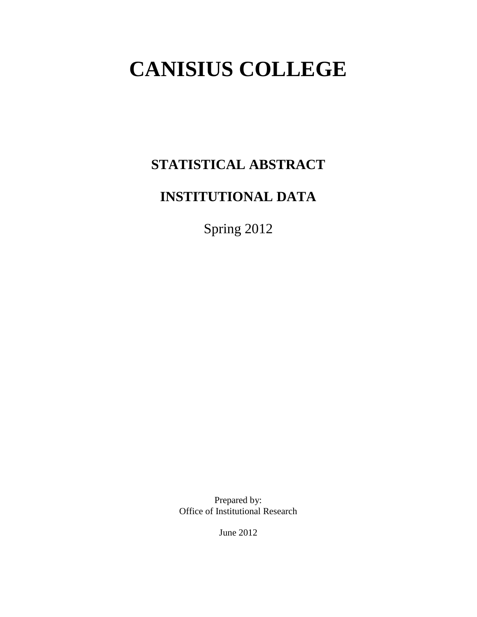# **CANISIUS COLLEGE**

# **STATISTICAL ABSTRACT**

# **INSTITUTIONAL DATA**

Spring 2012

Prepared by: Office of Institutional Research

June 2012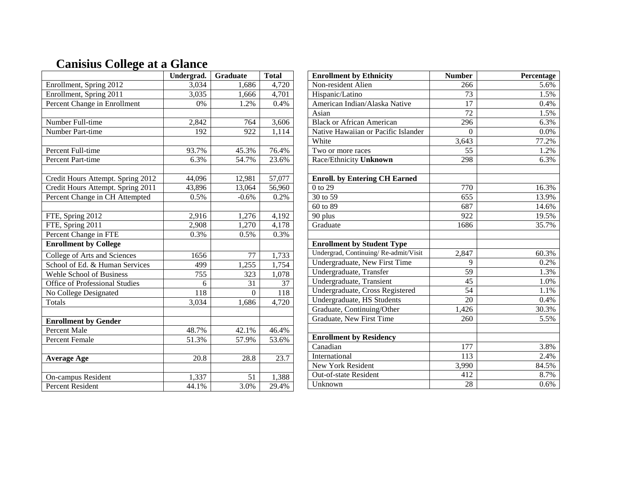|                                   | Undergrad.       | <b>Graduate</b> | <b>Total</b> |
|-----------------------------------|------------------|-----------------|--------------|
| Enrollment, Spring 2012           | 3,034            | 1,686           | 4,720        |
| Enrollment, Spring 2011           | 3,035            | 1,666           | 4,701        |
| Percent Change in Enrollment      | 0%               | 1.2%            | 0.4%         |
|                                   |                  |                 |              |
| Number Full-time                  | 2,842            | 764             | 3,606        |
| Number Part-time                  | 192              | 922             | 1,114        |
|                                   |                  |                 |              |
| Percent Full-time                 | 93.7%            | 45.3%           | 76.4%        |
| Percent Part-time                 | 6.3%             | 54.7%           | 23.6%        |
|                                   |                  |                 |              |
| Credit Hours Attempt. Spring 2012 | 44,096           | 12,981          | 57,077       |
| Credit Hours Attempt. Spring 2011 | 43,896           | 13,064          | 56,960       |
| Percent Change in CH Attempted    | 0.5%             | $-0.6%$         | 0.2%         |
|                                   |                  |                 |              |
| FTE, Spring 2012                  | 2,916            | 1,276           | 4,192        |
| FTE, Spring 2011                  | 2,908            | 1,270           | 4,178        |
| Percent Change in FTE             | 0.3%             | 0.5%            | 0.3%         |
| <b>Enrollment by College</b>      |                  |                 |              |
| College of Arts and Sciences      | 1656             | 77              | 1,733        |
| School of Ed. & Human Services    | 499              | 1,255           | 1,754        |
| Wehle School of Business          | 755              | 323             | 1,078        |
| Office of Professional Studies    | 6                | 31              | 37           |
| No College Designated             | $\overline{118}$ | $\theta$        | 118          |
| Totals                            | 3,034            | 1,686           | 4,720        |
|                                   |                  |                 |              |
| <b>Enrollment by Gender</b>       |                  |                 |              |
| <b>Percent Male</b>               | 48.7%            | 42.1%           | 46.4%        |
| <b>Percent Female</b>             | 51.3%            | 57.9%           | 53.6%        |
|                                   |                  |                 |              |
| <b>Average Age</b>                | 20.8             | 28.8            | 23.7         |
|                                   |                  |                 |              |
| On-campus Resident                | 1,337            | 51              | 1,388        |
| <b>Percent Resident</b>           | 44.1%            | 3.0%            | 29.4%        |

## **Canisius College at a Glance**

| <b>Enrollment by Ethnicity</b>       | <b>Number</b> | Percentage |
|--------------------------------------|---------------|------------|
| Non-resident Alien                   | 266           | 5.6%       |
| Hispanic/Latino                      | 73            | 1.5%       |
| American Indian/Alaska Native        | 17            | 0.4%       |
| Asian                                | 72            | 1.5%       |
| <b>Black or African American</b>     | 296           | 6.3%       |
| Native Hawaiian or Pacific Islander  | $\theta$      | 0.0%       |
| White                                | 3,643         | 77.2%      |
| Two or more races                    | 55            | 1.2%       |
| Race/Ethnicity Unknown               | 298           | 6.3%       |
| <b>Enroll.</b> by Entering CH Earned |               |            |
| $0$ to 29                            | 770           | 16.3%      |
| 30 to 59                             | 655           | 13.9%      |
| 60 to 89                             | 687           | 14.6%      |
| 90 plus                              | 922           | 19.5%      |
| Graduate                             | 1686          | 35.7%      |
| <b>Enrollment by Student Type</b>    |               |            |
| Undergrad, Continuing/Re-admit/Visit | 2,847         | 60.3%      |
| Undergraduate, New First Time        | 9             | 0.2%       |
| Undergraduate, Transfer              | 59            | 1.3%       |
| Undergraduate, Transient             | 45            | 1.0%       |
| Undergraduate, Cross Registered      | 54            | 1.1%       |
| Undergraduate, HS Students           | 20            | 0.4%       |
| Graduate, Continuing/Other           | 1,426         | 30.3%      |
| Graduate, New First Time             | 260           | 5.5%       |
| <b>Enrollment by Residency</b>       |               |            |
| Canadian                             | 177           | 3.8%       |
| International                        | 113           | 2.4%       |
| New York Resident                    | 3,990         | 84.5%      |
| Out-of-state Resident                | 412           | 8.7%       |
| Unknown                              | 28            | 0.6%       |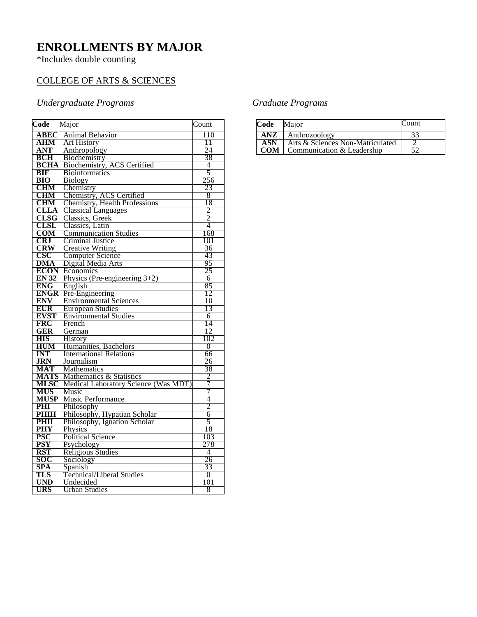### **ENROLLMENTS BY MAJOR**

\*Includes double counting

### COLLEGE OF ARTS & SCIENCES

### *Undergraduate Programs*

| Code                | Major                                                            | Count               |
|---------------------|------------------------------------------------------------------|---------------------|
| ABEC                | <b>Animal Behavior</b>                                           | 110                 |
| AHM                 | <b>Art History</b>                                               | 11                  |
| <b>ANT</b>          | Anthropology                                                     | 24                  |
| <b>BCH</b>          | Biochemistry                                                     | 38                  |
| <b>BCHA</b>         | Biochemistry, ACS Certified                                      | 4                   |
| <b>BIF</b>          | <b>Bioinformatics</b>                                            | $\overline{5}$      |
| <b>BIO</b>          | <b>Biology</b>                                                   | 256                 |
| <b>CHM</b>          | Chemistry                                                        | 23                  |
| <b>CHM</b>          | Chemistry, ACS Certified                                         | 8                   |
| <b>CHM</b>          | Chemistry, Health Professions                                    | 18                  |
| <b>CLLA</b>         | <b>Classical Languages</b>                                       | $\frac{2}{2}$       |
| <b>CLSG</b>         | Classics, Greek                                                  |                     |
| <b>CLSL</b>         | Classics, Latin                                                  | $\overline{4}$      |
| $_{\rm COM}$        | <b>Communication Studies</b>                                     | 168                 |
| <b>CRJ</b>          | <b>Criminal Justice</b>                                          | 101                 |
| CRW                 | <b>Creative Writing</b>                                          | 36                  |
| CSC                 | <b>Computer Science</b>                                          | 43                  |
| <b>DMA</b>          | Digital Media Arts                                               | 95                  |
| <b>ECON</b>         | Economics                                                        | 25                  |
| <b>EN 32</b>        | Physics (Pre-engineering $3+2$ )                                 | 6                   |
| <b>ENG</b>          | English                                                          | 85                  |
| <b>ENGR</b>         | Pre-Engineering                                                  | 12                  |
| <b>ENV</b>          | <b>Environmental Sciences</b>                                    | 10                  |
| <b>EUR</b>          | <b>European Studies</b>                                          | 13                  |
| <b>EVST</b>         | <b>Environmental Studies</b>                                     | 6                   |
| <b>FRC</b>          | French                                                           | 14                  |
| GER                 | German                                                           | 12                  |
| <b>HIS</b>          | <b>History</b>                                                   | 102                 |
| <b>HUM</b>          | Humanities, Bachelors                                            | $\overline{0}$      |
| <b>INT</b>          | <b>International Relations</b>                                   | 66                  |
| <b>JRN</b>          | Journalism                                                       | 26                  |
| MAT                 | <b>Mathematics</b>                                               | 38                  |
| <b>MATS</b><br>MLSC | Mathematics & Statistics<br>Medical Laboratory Science (Was MDT) | $\overline{2}$<br>7 |
| <b>MUS</b>          | Music                                                            | 7                   |
| <b>MUSP</b>         | <b>Music Performance</b>                                         | 4                   |
| PHI                 | Philosophy                                                       | $\overline{2}$      |
| <b>PHIH</b>         | Philosophy, Hypatian Scholar                                     | 6                   |
| PHII                | Philosophy, Ignation Scholar                                     | 5                   |
| <b>PHY</b>          | Physics                                                          | 18                  |
| <b>PSC</b>          | <b>Political Science</b>                                         | 103                 |
| <b>PSY</b>          | Psychology                                                       | 278                 |
| <b>RST</b>          | Religious Studies                                                | 4                   |
| SOC                 | Sociology                                                        | 26                  |
| SPA                 | Spanish                                                          | 33                  |
| TLS                 | <b>Technical/Liberal Studies</b>                                 | 0                   |
| <b>UND</b>          | Undecided                                                        | 101                 |
| URS                 | <b>Urban Studies</b>                                             | 8                   |

### *Graduate Programs*

| Code       | Major                            | Count |
|------------|----------------------------------|-------|
| ANZ        | Anthrozoology                    |       |
| <b>ASN</b> | Arts & Sciences Non-Matriculated |       |
| COM 1      | Communication & Leadership       |       |
|            |                                  |       |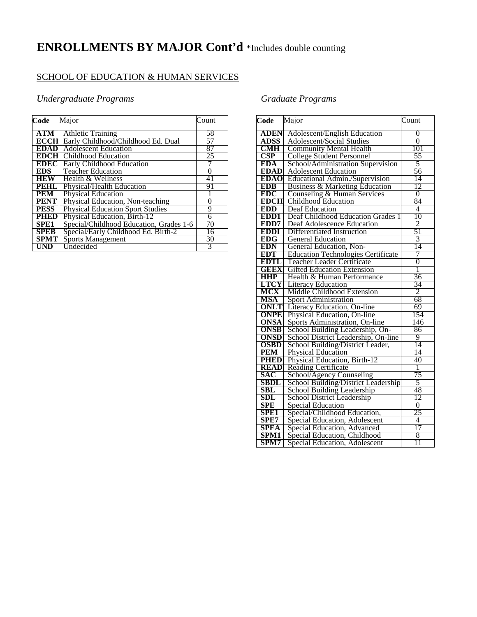# **ENROLLMENTS BY MAJOR Cont'd** \*Includes double counting

#### SCHOOL OF EDUCATION & HUMAN SERVICES

#### *Undergraduate Programs*

| Code             | Major                                   | Count |
|------------------|-----------------------------------------|-------|
| ATM              | <b>Athletic Training</b>                | 58    |
| <b>ECCHI</b>     | Early Childhood/Childhood Ed. Dual      | 57    |
| <b>EDAD</b>      | <b>Adolescent Education</b>             | 87    |
| EDCH             | Childhood Education                     | 25    |
| <b>EDEC</b>      | Early Childhood Education               |       |
| EDS -            | <b>Teacher Education</b>                | 0     |
| <b>HEW</b>       | Health & Wellness                       | 41    |
| PEHL             | Physical/Health Education               | 91    |
| <b>PEM</b>       | <b>Physical Education</b>               |       |
| <b>PENT</b>      | Physical Education, Non-teaching        | 0     |
| <b>PESS</b>      | <b>Physical Education Sport Studies</b> | 9     |
| <b>PHED</b>      | Physical Education, Birth-12            | 6     |
| SPE <sub>1</sub> | Special/Childhood Education, Grades 1-6 | 70    |
| <b>SPEB</b>      | Special/Early Childhood Ed. Birth-2     | 16    |
| <b>SPMT</b>      | <b>Sports Management</b>                | 30    |
| <b>UND</b>       | Undecided                               | 3     |

### *Graduate Programs*

| Code                 | Major                                     | Count           |
|----------------------|-------------------------------------------|-----------------|
| <b>ADEN</b>          | <b>Adolescent/English Education</b>       | 0               |
| <b>ADSS</b>          | <b>Adolescent/Social Studies</b>          | $\overline{0}$  |
| <b>CMH</b>           | <b>Community Mental Health</b>            | 101             |
| $\operatorname{CSP}$ | <b>College Student Personnel</b>          | 55              |
| <b>EDA</b>           | School/Administration Supervision         | 5               |
| <b>EDAD</b>          | <b>Adolescent Education</b>               | 56              |
| <b>EDAO</b>          | Educational Admin./Supervision            | 14              |
| <b>EDB</b>           | Business & Marketing Education            | 12              |
| <b>EDC</b>           | Counseling & Human Services               | $\overline{0}$  |
| <b>EDCH</b>          | Childhood Education                       | 84              |
| <b>EDD</b>           | <b>Deaf Education</b>                     | 4               |
| EDD1                 | Deaf Childhood Education Grades 1         | 10              |
| EDD7                 | Deaf Adolescence Education                | 2               |
| <b>EDDI</b>          | Differentiated Instruction                | $\overline{51}$ |
| <b>EDG</b>           | <b>General Education</b>                  | 3               |
| <b>EDN</b>           | General Education, Non-                   | 14              |
| <b>EDT</b>           | <b>Education Technologies Certificate</b> | 7               |
| <b>EDTL</b>          | Teacher Leader Certificate                | $\overline{0}$  |
| <b>GEEX</b>          | <b>Gifted Education Extension</b>         | 1               |
| <b>HHP</b>           | Health & Human Performance                | 36              |
| <b>LTCY</b>          | <b>Literacy Education</b>                 | 34              |
| MCX                  | Middle Childhood Extension                | $\overline{2}$  |
| <b>MSA</b>           | Sport Administration                      | 68              |
| <b>ONLT</b>          | Literacy Education, On-line               | 69              |
| <b>ONPE</b>          | Physical Education, On-line               | 154             |
| ONSA                 | Sports Administration, On-line            | 146             |
| <b>ONSB</b>          | School Building Leadership, On-           | 86              |
| <b>ONSD</b>          | School District Leadership, On-line       | 9               |
| <b>OSBD</b>          | School Building/District Leader,          | 14              |
| <b>PEM</b>           | <b>Physical Education</b>                 | 14              |
| <b>PHED</b>          | Physical Education, Birth-12              | 40              |
| <b>READ</b>          | <b>Reading Certificate</b>                | T               |
| SAC                  | School/Agency Counseling                  | 75              |
| <b>SBDL</b>          | School Building/District Leadership       | 5               |
| SBL                  | School Building Leadership                | 48              |
| <b>SDL</b>           | School District Leadership                | 12              |
| <b>SPE</b>           | <b>Special Education</b>                  | $\overline{0}$  |
| SPE1                 | Special/Childhood Education,              | 25              |
| SPE7                 | Special Education, Adolescent             | 4               |
| <b>SPEA</b>          | Special Education, Advanced               | 17              |
| <b>SPM1</b>          | Special Education, Childhood              | 8               |
| SPM7                 | Special Education, Adolescent             | 11              |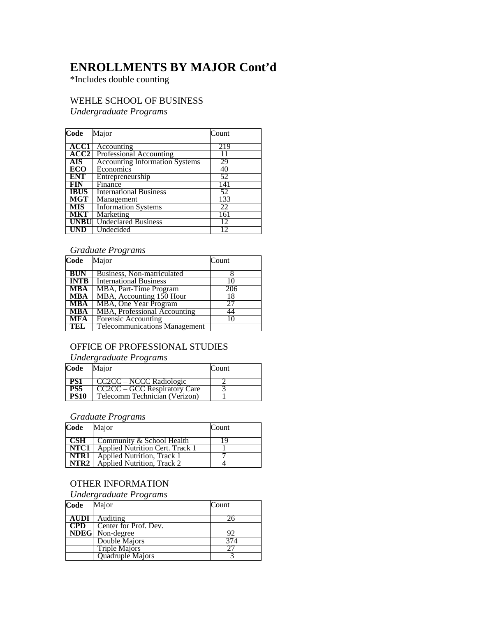### **ENROLLMENTS BY MAJOR Cont'd**

\*Includes double counting

#### WEHLE SCHOOL OF BUSINESS

*Undergraduate Programs*

| Code        | Major                                 | Count |
|-------------|---------------------------------------|-------|
|             |                                       |       |
| <b>ACC1</b> | Accounting                            | 219   |
| ACC2        | <b>Professional Accounting</b>        | 11    |
| <b>AIS</b>  | <b>Accounting Information Systems</b> | 29    |
| ECO         | Economics                             | 40    |
| <b>ENT</b>  | Entrepreneurship                      | 52    |
| FIN         | Finance                               | 141   |
| <b>IBUS</b> | <b>International Business</b>         | 52    |
| <b>MGT</b>  | Management                            | 133   |
| <b>MIS</b>  | <b>Information Systems</b>            | 22    |
| <b>MKT</b>  | Marketing                             | 161   |
| <b>UNBU</b> | <b>Undeclared Business</b>            | 12    |
| UND         | Undecided                             |       |

#### *Graduate Programs*

| Code        | Major                                | Count |
|-------------|--------------------------------------|-------|
| <b>BUN</b>  | Business, Non-matriculated           |       |
| <b>INTB</b> | <b>International Business</b>        | 10    |
| <b>MBA</b>  | MBA, Part-Time Program               | 206   |
| <b>MBA</b>  | MBA, Accounting 150 Hour             | 18    |
| <b>MBA</b>  | MBA, One Year Program                | 27    |
| <b>MBA</b>  | MBA, Professional Accounting         | 44    |
| <b>MFA</b>  | <b>Forensic Accounting</b>           | 10    |
| -TEL        | <b>Telecommunications Management</b> |       |

### OFFICE OF PROFESSIONAL STUDIES

*Undergraduate Programs*

| Code        | Major                         | Count |
|-------------|-------------------------------|-------|
| <b>PS1</b>  | CC2CC – NCCC Radiologic       |       |
| PS5         | CC2CC – GCC Respiratory Care  |       |
| <b>PS10</b> | Telecomm Technician (Verizon) |       |

*Graduate Programs*

| Code | Major                                         | Count |
|------|-----------------------------------------------|-------|
|      | $\vert$ CSH $\vert$ Community & School Health | 19    |
|      | <b>NTC1</b> Applied Nutrition Cert. Track 1   |       |
| NTR1 | Applied Nutrition, Track 1                    |       |
| NTR2 | <b>Applied Nutrition, Track 2</b>             |       |

#### OTHER INFORMATION

#### *Undergraduate Programs*

| Code        | Major                  | Count |
|-------------|------------------------|-------|
| <b>AUDI</b> | Auditing               |       |
| CPD         | Center for Prof. Dev.  |       |
|             | <b>NDEG</b> Non-degree | 92    |
|             | Double Majors          | 374   |
|             | <b>Triple Majors</b>   |       |
|             | Quadruple Majors       |       |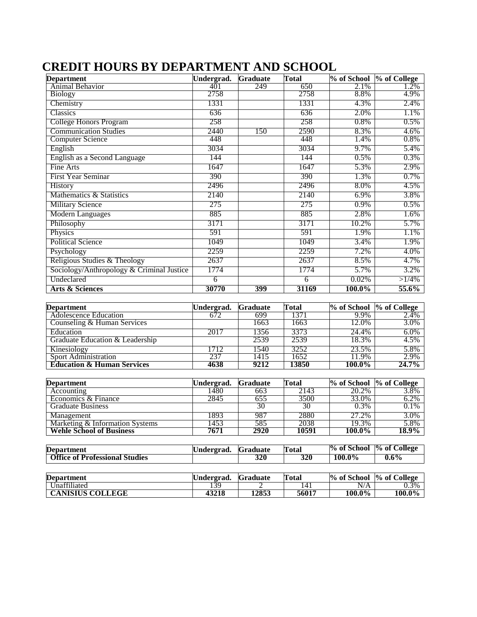| <b>Department</b>                         | Undergrad.         | <b>Graduate</b>        | <b>Total</b>         |                      | % of School % of College |
|-------------------------------------------|--------------------|------------------------|----------------------|----------------------|--------------------------|
| Animal Behavior                           | 401                | 249                    | 650                  | 2.1%                 | 1.2%                     |
| <b>Biology</b>                            | 2758               |                        | 2758                 | 8.8%                 | 4.9%                     |
| Chemistry                                 | 1331               |                        | 1331                 | 4.3%                 | 2.4%                     |
| Classics                                  | 636                |                        | 636                  | 2.0%                 | 1.1%                     |
| College Honors Program                    | 258                |                        | 258                  | 0.8%                 | 0.5%                     |
| <b>Communication Studies</b>              | 2440               | 150                    | 2590                 | 8.3%                 | 4.6%                     |
| <b>Computer Science</b>                   | 448                |                        | 448                  | 1.4%                 | 0.8%                     |
| English                                   | 3034               |                        | 3034                 | 9.7%                 | 5.4%                     |
| English as a Second Language              | 144                |                        | 144                  | 0.5%                 | 0.3%                     |
| Fine Arts                                 | 1647               |                        | 1647                 | 5.3%                 | 2.9%                     |
| <b>First Year Seminar</b>                 | 390                |                        | 390                  | 1.3%                 | 0.7%                     |
| History                                   | 2496               |                        | 2496                 | 8.0%                 | 4.5%                     |
| Mathematics & Statistics                  | 2140               |                        | 2140                 | 6.9%                 | 3.8%                     |
| <b>Military Science</b>                   | 275                |                        | 275                  | 0.9%                 | 0.5%                     |
| <b>Modern Languages</b>                   | 885                |                        | 885                  | 2.8%                 | 1.6%                     |
| Philosophy                                | 3171               |                        | 3171                 | 10.2%                | 5.7%                     |
| Physics                                   | 591                |                        | 591                  | 1.9%                 | 1.1%                     |
| <b>Political Science</b>                  | 1049               |                        | 1049                 | 3.4%                 | 1.9%                     |
| Psychology                                | 2259               |                        | 2259                 | 7.2%                 | 4.0%                     |
| Religious Studies & Theology              | 2637               |                        | 2637                 | 8.5%                 | 4.7%                     |
| Sociology/Anthropology & Criminal Justice | 1774               |                        | 1774                 | 5.7%                 | 3.2%                     |
| Undeclared                                | 6                  |                        | 6                    | 0.02%                | $>1/4\%$                 |
| <b>Arts &amp; Sciences</b>                | 30770              | 399                    | 31169                | 100.0%               | 55.6%                    |
|                                           |                    |                        |                      |                      |                          |
| <b>Department</b>                         | Undergrad.         | <b>Graduate</b>        | <b>Total</b>         | % of School          | % of College             |
| <b>Adolescence Education</b>              | 672                | 699                    | 1371                 | 9.9%                 | 2.4%                     |
| Counseling & Human Services               |                    | 1663                   | 1663                 | 12.0%                | 3.0%                     |
| Education                                 | 2017               | 1356                   | 3373                 | 24.4%                | 6.0%                     |
| Graduate Education & Leadership           |                    | 2539                   | 2539                 | 18.3%                | 4.5%                     |
| Kinesiology                               | 1712               | 1540                   | 3252                 | 23.5%                | 5.8%                     |
| Sport Administration                      | 237                | 1415                   | 1652                 | 11.9%                | 2.9%                     |
| <b>Education &amp; Human Services</b>     | 4638               | 9212                   | 13850                | 100.0%               | 24.7%                    |
|                                           |                    |                        |                      |                      |                          |
| <b>Department</b><br>Accounting           | Undergrad.<br>1480 | <b>Graduate</b><br>663 | <b>Total</b><br>2143 | % of School<br>20.2% | % of College<br>3.8%     |
| Economics & Finance                       | 2845               | 655                    | 3500                 | 33.0%                | 6.2%                     |
| <b>Graduate Business</b>                  |                    | 30                     | 30                   | 0.3%                 | 0.1%                     |
| Management                                | 1893               | 987                    | 2880                 | 27.2%                | 3.0%                     |
| Marketing & Information Systems           | 1453               | 585                    | 2038                 | 19.3%                | 5.8%                     |
| <b>Wehle School of Business</b>           | 7671               | 2920                   | 10591                | 100.0%               | 18.9%                    |

### **CREDIT HOURS BY DEPARTMENT AND SCHOOL**

| <b>Department</b>                     | Undergrad. | <b>K</b> raduate | Total | % of School | % of College |
|---------------------------------------|------------|------------------|-------|-------------|--------------|
| <b>Office of Professional Studies</b> |            | 320              | 320   | 100.0%      | $0.6\%$      |

| <b>Department</b>       | Undergrad. | Graduate | <b>Total</b> | % of School | % of College |
|-------------------------|------------|----------|--------------|-------------|--------------|
| Unaffiliated            | 139        |          | 141          | N/A         | 0.3%         |
| <b>CANISIUS COLLEGE</b> | 43218      | 12853    | 56017        | 100.0%      | 100.0%       |